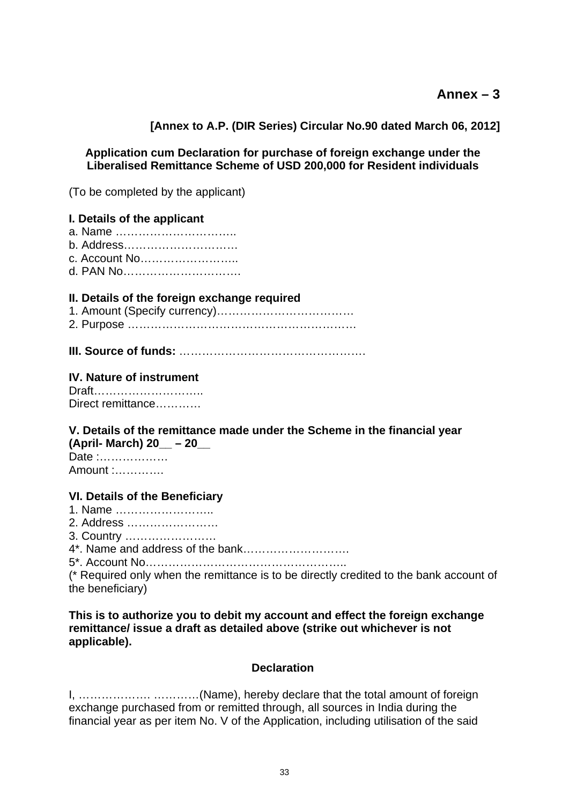# **Ann[ex – 3](https://mail.rbi.org.in/owa/?ae=Item&a=Open&t=IPM.Note&id=RgAAAACxr0gwj7s5S6PMXQs1cPiWBwB2mWbKc1XYToWcaE5o7fsZAAAATrkBAAAJt%2fSa4VoXR6ZYS9Zji3zwAMseYJmNAAAJ#_Annex-1#_Annex-1)**

**[\[Annex to A.P. \(DIR Series\) Circular No.90 dated March 06, 2012\]](https://mail.rbi.org.in/owa/?ae=Item&a=Open&t=IPM.Note&id=RgAAAACxr0gwj7s5S6PMXQs1cPiWBwB2mWbKc1XYToWcaE5o7fsZAAAATrkBAAAJt%2fSa4VoXR6ZYS9Zji3zwAMseYJmNAAAJ#_Annex-1#_Annex-1)**

## **Application cum Declaration for purchase of foreign exchange under the Liberalised Remittance Scheme of USD 200,000 for Resident individuals**

(To be completed by the applicant)

## **I. Details of the applicant**

- a. Name …………………………..
- b. Address…………………………
- c. Account No……………………..
- d. PAN No………………………….

#### **II. Details of the foreign exchange required**

- 1. Amount (Specify currency)……………………………… 2. Purpose ……………………………………………………
- 
- **III. Source of funds:** ………………………………………….

#### **IV. Nature of instrument**

Draft……………………….. Direct remittance…………

#### **V. Details of the remittance made under the Scheme in the financial year (April- March) 20\_\_ – 20\_\_**

Date :……………… Amount :………….

#### **VI. Details of the Beneficiary**

- 1. Name ……………………..
- 2. Address ……………………
- 3. Country ……………………
- 4\*. Name and address of the bank……………………….

5\*. Account No……………………………………………..

(\* Required only when the remittance is to be directly credited to the bank account of the beneficiary)

**This is to authorize you to debit my account and effect the foreign exchange remittance/ issue a draft as detailed above (strike out whichever is not applicable).** 

#### **Declaration**

I, ………………. …………(Name), hereby declare that the total amount of foreign exchange purchased from or remitted through, all sources in India during the financial year as per item No. V of the Application, including utilisation of the said